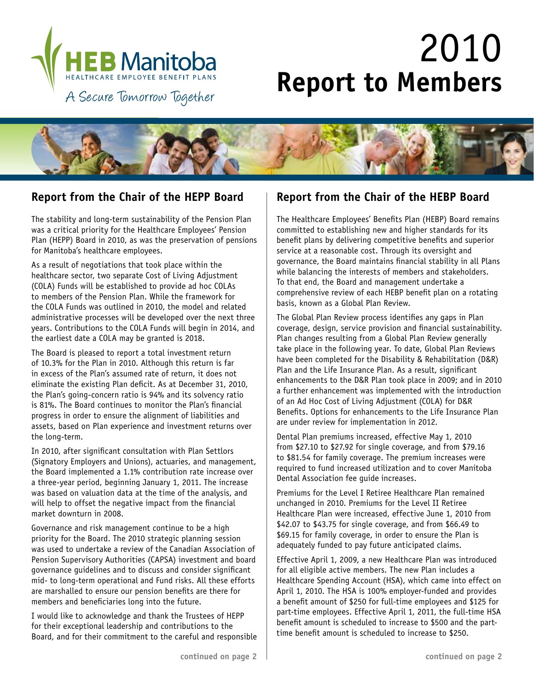

# 2010 **Report to Members**



The stability and long-term sustainability of the Pension Plan was a critical priority for the Healthcare Employees' Pension Plan (HEPP) Board in 2010, as was the preservation of pensions for Manitoba's healthcare employees.

As a result of negotiations that took place within the healthcare sector, two separate Cost of Living Adjustment (COLA) Funds will be established to provide ad hoc COLAs to members of the Pension Plan. While the framework for the COLA Funds was outlined in 2010, the model and related administrative processes will be developed over the next three years. Contributions to the COLA Funds will begin in 2014, and the earliest date a COLA may be granted is 2018.

The Board is pleased to report a total investment return of 10.3% for the Plan in 2010. Although this return is far in excess of the Plan's assumed rate of return, it does not eliminate the existing Plan deficit. As at December 31, 2010, the Plan's going-concern ratio is 94% and its solvency ratio is 81%. The Board continues to monitor the Plan's financial progress in order to ensure the alignment of liabilities and assets, based on Plan experience and investment returns over the long-term.

In 2010, after significant consultation with Plan Settlors (Signatory Employers and Unions), actuaries, and management, the Board implemented a 1.1% contribution rate increase over a three-year period, beginning January 1, 2011. The increase was based on valuation data at the time of the analysis, and will help to offset the negative impact from the financial market downturn in 2008.

Governance and risk management continue to be a high priority for the Board. The 2010 strategic planning session was used to undertake a review of the Canadian Association of Pension Supervisory Authorities (CAPSA) investment and board governance guidelines and to discuss and consider significant mid- to long-term operational and Fund risks. All these efforts are marshalled to ensure our pension benefits are there for members and beneficiaries long into the future.

I would like to acknowledge and thank the Trustees of HEPP for their exceptional leadership and contributions to the Board, and for their commitment to the careful and responsible

### **Report from the Chair of the HEPP Board Report from the Chair of the HEBP Board**

The Healthcare Employees' Benefits Plan (HEBP) Board remains committed to establishing new and higher standards for its benefit plans by delivering competitive benefits and superior service at a reasonable cost. Through its oversight and governance, the Board maintains financial stability in all Plans while balancing the interests of members and stakeholders. To that end, the Board and management undertake a comprehensive review of each HEBP benefit plan on a rotating basis, known as a Global Plan Review.

The Global Plan Review process identifies any gaps in Plan coverage, design, service provision and financial sustainability. Plan changes resulting from a Global Plan Review generally take place in the following year. To date, Global Plan Reviews have been completed for the Disability & Rehabilitation (D&R) Plan and the Life Insurance Plan. As a result, significant enhancements to the D&R Plan took place in 2009; and in 2010 a further enhancement was implemented with the introduction of an Ad Hoc Cost of Living Adjustment (COLA) for D&R Benefits. Options for enhancements to the Life Insurance Plan are under review for implementation in 2012.

Dental Plan premiums increased, effective May 1, 2010 from \$27.10 to \$27.92 for single coverage, and from \$79.16 to \$81.54 for family coverage. The premium increases were required to fund increased utilization and to cover Manitoba Dental Association fee guide increases.

Premiums for the Level I Retiree Healthcare Plan remained unchanged in 2010. Premiums for the Level II Retiree Healthcare Plan were increased, effective June 1, 2010 from \$42.07 to \$43.75 for single coverage, and from \$66.49 to \$69.15 for family coverage, in order to ensure the Plan is adequately funded to pay future anticipated claims.

Effective April 1, 2009, a new Healthcare Plan was introduced for all eligible active members. The new Plan includes a Healthcare Spending Account (HSA), which came into effect on April 1, 2010. The HSA is 100% employer-funded and provides a benefit amount of \$250 for full-time employees and \$125 for part-time employees. Effective April 1, 2011, the full-time HSA benefit amount is scheduled to increase to \$500 and the parttime benefit amount is scheduled to increase to \$250.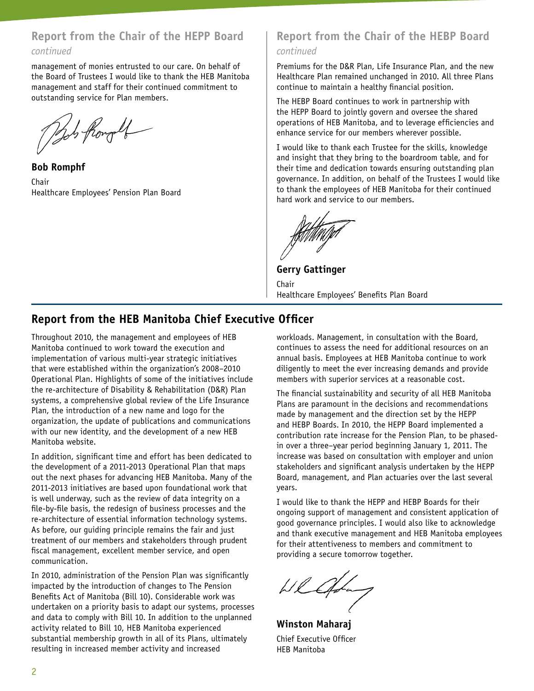## **Report from the Chair of the HEPP Board**

### *continued*

management of monies entrusted to our care. On behalf of the Board of Trustees I would like to thank the HEB Manitoba management and staff for their continued commitment to outstanding service for Plan members.

Bob from of

**Bob Romphf** Chair Healthcare Employees' Pension Plan Board

### **Report from the Chair of the HEBP Board** *continued*

Premiums for the D&R Plan, Life Insurance Plan, and the new Healthcare Plan remained unchanged in 2010. All three Plans continue to maintain a healthy financial position.

The HEBP Board continues to work in partnership with the HEPP Board to jointly govern and oversee the shared operations of HEB Manitoba, and to leverage efficiencies and enhance service for our members wherever possible.

I would like to thank each Trustee for the skills, knowledge and insight that they bring to the boardroom table, and for their time and dedication towards ensuring outstanding plan governance. In addition, on behalf of the Trustees I would like to thank the employees of HEB Manitoba for their continued hard work and service to our members.

**Gerry Gattinger** Chair Healthcare Employees' Benefits Plan Board

### **Report from the HEB Manitoba Chief Executive Officer**

Throughout 2010, the management and employees of HEB Manitoba continued to work toward the execution and implementation of various multi-year strategic initiatives that were established within the organization's 2008–2010 Operational Plan. Highlights of some of the initiatives include the re-architecture of Disability & Rehabilitation (D&R) Plan systems, a comprehensive global review of the Life Insurance Plan, the introduction of a new name and logo for the organization, the update of publications and communications with our new identity, and the development of a new HEB Manitoba website.

In addition, significant time and effort has been dedicated to the development of a 2011-2013 Operational Plan that maps out the next phases for advancing HEB Manitoba. Many of the 2011-2013 initiatives are based upon foundational work that is well underway, such as the review of data integrity on a file-by-file basis, the redesign of business processes and the re-architecture of essential information technology systems. As before, our guiding principle remains the fair and just treatment of our members and stakeholders through prudent fiscal management, excellent member service, and open communication.

In 2010, administration of the Pension Plan was significantly impacted by the introduction of changes to The Pension Benefits Act of Manitoba (Bill 10). Considerable work was undertaken on a priority basis to adapt our systems, processes and data to comply with Bill 10. In addition to the unplanned activity related to Bill 10, HEB Manitoba experienced substantial membership growth in all of its Plans, ultimately resulting in increased member activity and increased

workloads. Management, in consultation with the Board, continues to assess the need for additional resources on an annual basis. Employees at HEB Manitoba continue to work diligently to meet the ever increasing demands and provide members with superior services at a reasonable cost.

The financial sustainability and security of all HEB Manitoba Plans are paramount in the decisions and recommendations made by management and the direction set by the HEPP and HEBP Boards. In 2010, the HEPP Board implemented a contribution rate increase for the Pension Plan, to be phasedin over a three–year period beginning January 1, 2011. The increase was based on consultation with employer and union stakeholders and significant analysis undertaken by the HEPP Board, management, and Plan actuaries over the last several years.

I would like to thank the HEPP and HEBP Boards for their ongoing support of management and consistent application of good governance principles. I would also like to acknowledge and thank executive management and HEB Manitoba employees for their attentiveness to members and commitment to providing a secure tomorrow together.

Wladay

**Winston Maharaj** Chief Executive Officer HEB Manitoba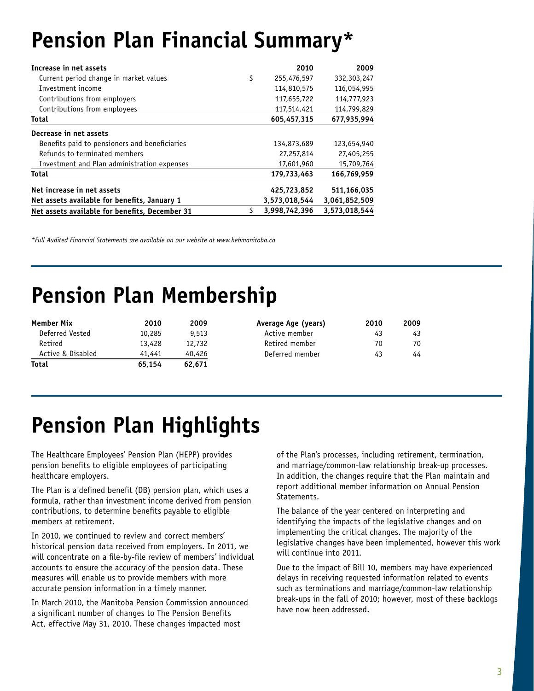# **Pension Plan Financial Summary\***

| Increase in net assets                         | 2010              | 2009          |
|------------------------------------------------|-------------------|---------------|
| Current period change in market values         | \$<br>255,476,597 | 332,303,247   |
| Investment income                              | 114,810,575       | 116,054,995   |
| Contributions from employers                   | 117,655,722       | 114,777,923   |
| Contributions from employees                   | 117,514,421       | 114,799,829   |
| <b>Total</b>                                   | 605,457,315       | 677,935,994   |
| Decrease in net assets                         |                   |               |
| Benefits paid to pensioners and beneficiaries  | 134,873,689       | 123,654,940   |
| Refunds to terminated members                  | 27,257,814        | 27,405,255    |
| Investment and Plan administration expenses    | 17,601,960        | 15,709,764    |
| <b>Total</b>                                   | 179,733,463       | 166.769.959   |
| Net increase in net assets                     | 425,723,852       | 511,166,035   |
| Net assets available for benefits, January 1   | 3,573,018,544     | 3,061,852,509 |
| Net assets available for benefits, December 31 | 3.998.742.396     | 3.573.018.544 |

*\*Full Audited Financial Statements are available on our website at www.hebmanitoba.ca*

## **Pension Plan Membership**

| Member Mix        | 2010   | 2009   | Average Age (years) | 2010 | 2009 |
|-------------------|--------|--------|---------------------|------|------|
| Deferred Vested   | 10,285 | 9,513  | Active member       | 43   | 43   |
| Retired           | 13,428 | 12,732 | Retired member      | 70   | 70   |
| Active & Disabled | 41,441 | 40,426 | Deferred member     | 43   | 44   |
| <b>Total</b>      | 65.154 | 62,671 |                     |      |      |

# **Pension Plan Highlights**

The Healthcare Employees' Pension Plan (HEPP) provides pension benefits to eligible employees of participating healthcare employers.

The Plan is a defined benefit (DB) pension plan, which uses a formula, rather than investment income derived from pension contributions, to determine benefits payable to eligible members at retirement.

In 2010, we continued to review and correct members' historical pension data received from employers. In 2011, we will concentrate on a file-by-file review of members' individual accounts to ensure the accuracy of the pension data. These measures will enable us to provide members with more accurate pension information in a timely manner.

In March 2010, the Manitoba Pension Commission announced a significant number of changes to The Pension Benefits Act, effective May 31, 2010. These changes impacted most

of the Plan's processes, including retirement, termination, and marriage/common-law relationship break-up processes. In addition, the changes require that the Plan maintain and report additional member information on Annual Pension Statements.

The balance of the year centered on interpreting and identifying the impacts of the legislative changes and on implementing the critical changes. The majority of the legislative changes have been implemented, however this work will continue into 2011.

Due to the impact of Bill 10, members may have experienced delays in receiving requested information related to events such as terminations and marriage/common-law relationship break-ups in the fall of 2010; however, most of these backlogs have now been addressed.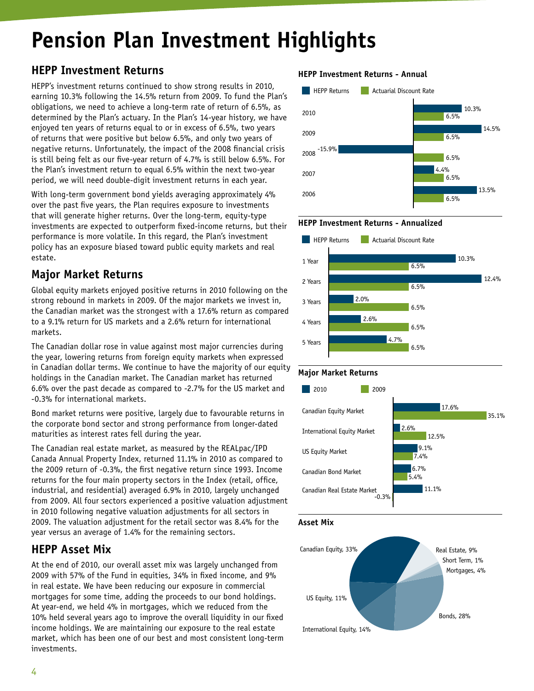# **Pension Plan Investment Highlights**

## **HEPP Investment Returns**

HEPP's investment returns continued to show strong results in 2010, earning 10.3% following the 14.5% return from 2009. To fund the Plan's obligations, we need to achieve a long-term rate of return of 6.5%, as determined by the Plan's actuary. In the Plan's 14-year history, we have enjoyed ten years of returns equal to or in excess of 6.5%, two years of returns that were positive but below 6.5%, and only two years of negative returns. Unfortunately, the impact of the 2008 financial crisis is still being felt as our five-year return of 4.7% is still below 6.5%. For the Plan's investment return to equal 6.5% within the next two-year period, we will need double-digit investment returns in each year.

With long-term government bond yields averaging approximately 4% over the past five years, the Plan requires exposure to investments that will generate higher returns. Over the long-term, equity-type investments are expected to outperform fixed-income returns, but their performance is more volatile. In this regard, the Plan's investment policy has an exposure biased toward public equity markets and real estate.

### **Major Market Returns**

Global equity markets enjoyed positive returns in 2010 following on the strong rebound in markets in 2009. Of the major markets we invest in, the Canadian market was the strongest with a 17.6% return as compared to a 9.1% return for US markets and a 2.6% return for international markets.

The Canadian dollar rose in value against most major currencies during the year, lowering returns from foreign equity markets when expressed in Canadian dollar terms. We continue to have the majority of our equity holdings in the Canadian market. The Canadian market has returned 6.6% over the past decade as compared to -2.7% for the US market and -0.3% for international markets.

Bond market returns were positive, largely due to favourable returns in the corporate bond sector and strong performance from longer-dated maturities as interest rates fell during the year.

The Canadian real estate market, as measured by the REALpac/IPD Canada Annual Property Index, returned 11.1% in 2010 as compared to the 2009 return of -0.3%, the first negative return since 1993. Income returns for the four main property sectors in the Index (retail, office, industrial, and residential) averaged 6.9% in 2010, largely unchanged from 2009. All four sectors experienced a positive valuation adjustment in 2010 following negative valuation adjustments for all sectors in 2009. The valuation adjustment for the retail sector was 8.4% for the year versus an average of 1.4% for the remaining sectors.

### **HEPP Asset Mix**

At the end of 2010, our overall asset mix was largely unchanged from 2009 with 57% of the Fund in equities, 34% in fixed income, and 9% in real estate. We have been reducing our exposure in commercial mortgages for some time, adding the proceeds to our bond holdings. At year-end, we held 4% in mortgages, which we reduced from the 10% held several years ago to improve the overall liquidity in our fixed income holdings. We are maintaining our exposure to the real estate market, which has been one of our best and most consistent long-term investments.

### **HEPP Investment Returns - Annual**













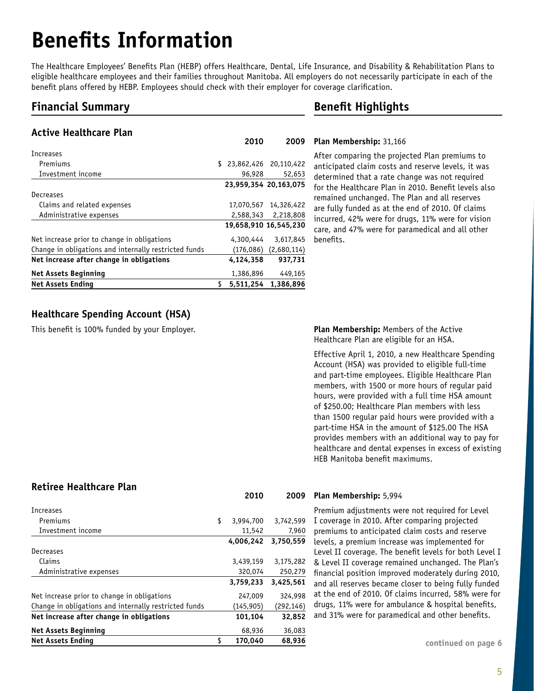# **Benefits Information**

The Healthcare Employees' Benefits Plan (HEBP) offers Healthcare, Dental, Life Insurance, and Disability & Rehabilitation Plans to eligible healthcare employees and their families throughout Manitoba. All employers do not necessarily participate in each of the benefit plans offered by HEBP. Employees should check with their employer for coverage clarification.

### **Financial Summary**

### **Active Healthcare Plan**

| Increases                                             |            |                          |
|-------------------------------------------------------|------------|--------------------------|
| Premiums                                              |            | \$ 23,862,426 20,110,422 |
| Investment income                                     | 96,928     | 52,653                   |
|                                                       |            | 23,959,354 20,163,075    |
| Decreases                                             |            |                          |
| Claims and related expenses                           | 17,070,567 | 14,326,422               |
| Administrative expenses                               | 2,588,343  | 2,218,808                |
|                                                       |            | 19,658,910 16,545,230    |
| Net increase prior to change in obligations           | 4,300,444  | 3,617,845                |
| Change in obligations and internally restricted funds | (176,086)  | (2,680,114)              |
| Net increase after change in obligations              | 4.124.358  | 937.731                  |
| <b>Net Assets Beginning</b>                           | 1,386,896  | 449,165                  |
| <b>Net Assets Ending</b>                              | 5.511.254  | 1.386.896                |

### **Benefit Highlights**

### **Plan Membership:** 31,166 **2010 2009**

After comparing the projected Plan premiums to anticipated claim costs and reserve levels, it was determined that a rate change was not required for the Healthcare Plan in 2010. Benefit levels also remained unchanged. The Plan and all reserves are fully funded as at the end of 2010. Of claims incurred, 42% were for drugs, 11% were for vision care, and 47% were for paramedical and all other benefits.

### **Healthcare Spending Account (HSA)**

This benefit is 100% funded by your Employer.

**Plan Membership:** Members of the Active Healthcare Plan are eligible for an HSA.

Effective April 1, 2010, a new Healthcare Spending Account (HSA) was provided to eligible full-time and part-time employees. Eligible Healthcare Plan members, with 1500 or more hours of regular paid hours, were provided with a full time HSA amount of \$250.00; Healthcare Plan members with less than 1500 regular paid hours were provided with a part-time HSA in the amount of \$125.00 The HSA provides members with an additional way to pay for healthcare and dental expenses in excess of existing HEB Manitoba benefit maximums.

### **Retiree Healthcare Plan**

| Increases                                             |                 |            |
|-------------------------------------------------------|-----------------|------------|
| Premiums                                              | \$<br>3,994,700 | 3,742,599  |
| Investment income                                     | 11,542          | 7,960      |
|                                                       | 4.006.242       | 3,750,559  |
| Decreases                                             |                 |            |
| Claims                                                | 3,439,159       | 3,175,282  |
| Administrative expenses                               | 320,074         | 250,279    |
|                                                       | 3,759,233       | 3,425,561  |
| Net increase prior to change in obligations           | 247,009         | 324,998    |
| Change in obligations and internally restricted funds | (145, 905)      | (292, 146) |
| Net increase after change in obligations              | 101,104         | 32,852     |
| <b>Net Assets Beginning</b>                           | 68,936          | 36,083     |
| <b>Net Assets Ending</b>                              | \$<br>170.040   | 68.936     |

### **Plan Membership:** 5,994 **2010 2009**

Premium adjustments were not required for Level I coverage in 2010. After comparing projected premiums to anticipated claim costs and reserve levels, a premium increase was implemented for Level II coverage. The benefit levels for both Level I & Level II coverage remained unchanged. The Plan's financial position improved moderately during 2010, and all reserves became closer to being fully funded at the end of 2010. Of claims incurred, 58% were for drugs, 11% were for ambulance & hospital benefits, and 31% were for paramedical and other benefits.

continued on page 6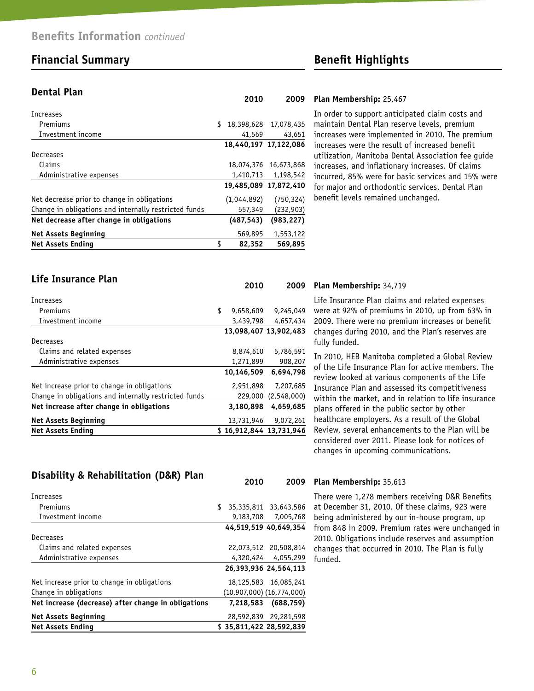### **Financial Summary Benefit Highlights**

**Life Insurance Plan**

### **Dental Plan**

| Increases                                             |              |                       |
|-------------------------------------------------------|--------------|-----------------------|
| Premiums                                              | \$           | 18.398.628 17.078.435 |
| Investment income                                     | 41,569       | 43,651                |
|                                                       |              | 18,440,197 17,122,086 |
| Decreases                                             |              |                       |
| Claims                                                | 18,074,376   | 16,673,868            |
| Administrative expenses                               | 1,410,713    | 1,198,542             |
|                                                       |              | 19,485,089 17,872,410 |
| Net decrease prior to change in obligations           | (1,044,892)  | (750, 324)            |
| Change in obligations and internally restricted funds | 557,349      | (232,903)             |
| Net decrease after change in obligations              | (487, 543)   | (983, 227)            |
| <b>Net Assets Beginning</b>                           | 569,895      | 1,553,122             |
| <b>Net Assets Ending</b>                              | \$<br>82,352 | 569.895               |

### **Plan Membership:** 25,467 **2010 2009**

In order to support anticipated claim costs and maintain Dental Plan reserve levels, premium increases were implemented in 2010. The premium increases were the result of increased benefit utilization, Manitoba Dental Association fee guide increases, and inflationary increases. Of claims incurred, 85% were for basic services and 15% were for major and orthodontic services. Dental Plan benefit levels remained unchanged.

|                                                       | 2010                    | 2009                  |
|-------------------------------------------------------|-------------------------|-----------------------|
| Increases                                             |                         |                       |
| Premiums                                              | \$<br>9,658,609         | 9,245,049             |
| Investment income                                     | 3,439,798               | 4,657,434             |
|                                                       |                         | 13.098.407 13.902.483 |
| Decreases                                             |                         |                       |
| Claims and related expenses                           | 8,874,610               | 5,786,591             |
| Administrative expenses                               | 1,271,899               | 908,207               |
|                                                       | 10.146.509              | 6.694.798             |
| Net increase prior to change in obligations           | 2,951,898               | 7,207,685             |
| Change in obligations and internally restricted funds | 229,000                 | (2,548,000)           |
| Net increase after change in obligations              | 3,180,898               | 4,659,685             |
| <b>Net Assets Beginning</b>                           | 13,731,946              | 9.072.261             |
| <b>Net Assets Ending</b>                              | \$16.912.844 13.731.946 |                       |

### **Plan Membership:** 34,719 **2010 2009**

Life Insurance Plan claims and related expenses were at 92% of premiums in 2010, up from 63% in 2009. There were no premium increases or benefit changes during 2010, and the Plan's reserves are fully funded.

In 2010, HEB Manitoba completed a Global Review of the Life Insurance Plan for active members. The review looked at various components of the Life Insurance Plan and assessed its competitiveness within the market, and in relation to life insurance plans offered in the public sector by other healthcare employers. As a result of the Global Review, several enhancements to the Plan will be considered over 2011. Please look for notices of changes in upcoming communications.

### **Disability & Rehabilitation (D&R) Plan**

| Increases                                           |    |           |                               |
|-----------------------------------------------------|----|-----------|-------------------------------|
| Premiums                                            | S. |           | 35,335,811 33,643,586         |
| Investment income                                   |    |           | 9,183,708 7,005,768           |
|                                                     |    |           | 44,519,519 40,649,354         |
| Decreases                                           |    |           |                               |
| Claims and related expenses                         |    |           | 22,073,512 20,508,814         |
| Administrative expenses                             |    |           | 4,320,424 4,055,299           |
|                                                     |    |           | 26.393.936 24.564.113         |
| Net increase prior to change in obligations         |    |           | 18,125,583 16,085,241         |
| Change in obligations                               |    |           | $(10,907,000)$ $(16,774,000)$ |
| Net increase (decrease) after change in obligations |    | 7,218,583 | (688, 759)                    |
| <b>Net Assets Beginning</b>                         |    |           | 28.592.839 29.281.598         |
| <b>Net Assets Ending</b>                            |    |           | \$35.811.422 28.592.839       |

### **Plan Membership:** 35,613 **2010 2009**

There were 1,278 members receiving D&R Benefits at December 31, 2010. Of these claims, 923 were being administered by our in-house program, up from 848 in 2009. Premium rates were unchanged in 2010. Obligations include reserves and assumption changes that occurred in 2010. The Plan is fully funded.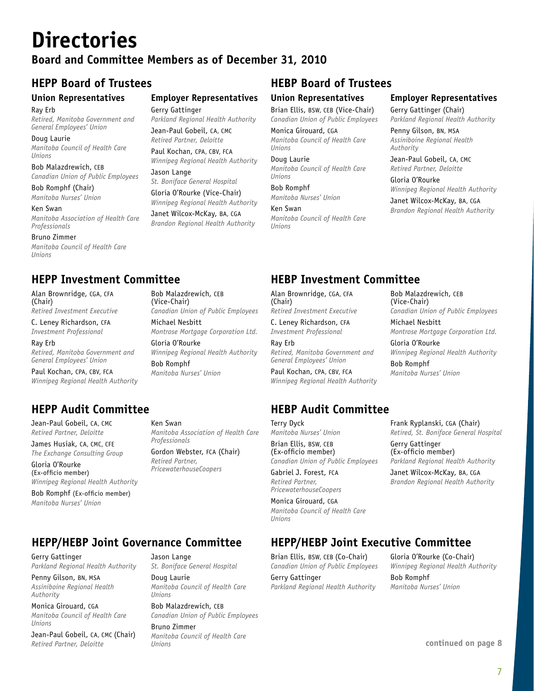# **Directories**

### **Board and Committee Members as of December 31, 2010**

### **Union Representatives**

Ray Erb *Retired, Manitoba Government and General Employees' Union*

Doug Laurie *Manitoba Council of Health Care Unions*

Bob Malazdrewich, CEB *Canadian Union of Public Employees*

Bob Romphf (Chair) *Manitoba Nurses' Union*

Ken Swan *Manitoba Association of Health Care Professionals*

Bruno Zimmer *Manitoba Council of Health Care Unions*

## **Employer Representatives**

Gerry Gattinger *Parkland Regional Health Authority*

Jean-Paul Gobeil, CA, CMC *Retired Partner, Deloitte*

Paul Kochan, CPA, CBV, FCA *Winnipeg Regional Health Authority* Jason Lange

*St. Boniface General Hospital* Gloria O'Rourke (Vice-Chair)

*Winnipeg Regional Health Authority* Janet Wilcox-McKay, BA, CGA *Brandon Regional Health Authority*

## **HEPP Board of Trustees HEBP Board of Trustees**

### **Union Representatives** Brian Ellis, BSW, CEB (Vice-Chair)

*Canadian Union of Public Employees*

Monica Girouard, CGA *Manitoba Council of Health Care Unions*

Doug Laurie *Manitoba Council of Health Care Unions*

Bob Romphf *Manitoba Nurses' Union*

Ken Swan *Manitoba Council of Health Care Unions*

### **Employer Representatives**

Gerry Gattinger (Chair) *Parkland Regional Health Authority*

Penny Gilson, BN, MSA *Assiniboine Regional Health Authority*

Jean-Paul Gobeil, CA, CMC *Retired Partner, Deloitte*

Gloria O'Rourke *Winnipeg Regional Health Authority*

Janet Wilcox-McKay, BA, CGA *Brandon Regional Health Authority*

### **HEPP Investment Committee HEBP Investment Committee**

Alan Brownridge, CGA, CFA (Chair) *Retired Investment Executive*

C. Leney Richardson, CFA *Investment Professional*

Ray Erb *Retired, Manitoba Government and General Employees' Union*

Paul Kochan, CPA, CBV, FCA *Winnipeg Regional Health Authority*

**HEPP Audit Committee HEBP Audit Committee**

Jean-Paul Gobeil, CA, CMC *Retired Partner, Deloitte*

James Husiak, CA, CMC, CFE *The Exchange Consulting Group*

Gloria O'Rourke (Ex-officio member) *Winnipeg Regional Health Authority*

Bob Romphf (Ex-officio member) *Manitoba Nurses' Union*

Bob Malazdrewich, CEB (Vice-Chair) *Canadian Union of Public Employees* Michael Nesbitt *Montrose Mortgage Corporation Ltd.* Gloria O'Rourke *Winnipeg Regional Health Authority*  Bob Romphf *Manitoba Nurses' Union*

Alan Brownridge, CGA, CFA (Chair) *Retired Investment Executive*

C. Leney Richardson, CFA *Investment Professional*

Ray Erb *Retired, Manitoba Government and General Employees' Union*

Paul Kochan, CPA, CBV, FCA *Winnipeg Regional Health Authority*

Terry Dyck *Manitoba Nurses' Union*

Brian Ellis, BSW, CEB (Ex-officio member)

*Canadian Union of Public Employees*  Gabriel J. Forest, FCA

*Retired Partner, PricewaterhouseCoopers*

Monica Girouard, CGA *Manitoba Council of Health Care Unions*

Brian Ellis, BSW, CEB (Co-Chair) *Canadian Union of Public Employees* Gerry Gattinger

*Parkland Regional Health Authority*

Gloria O'Rourke (Co-Chair) *Winnipeg Regional Health Authority* Bob Romphf *Manitoba Nurses' Union*

**continued on page 8**

## **HEPP/HEBP Joint Governance Committee HEPP/HEBP Joint Executive Committee**

Gerry Gattinger *Parkland Regional Health Authority*

Penny Gilson, BN, MSA *Assiniboine Regional Health Authority*

Monica Girouard, CGA *Manitoba Council of Health Care Unions*

Jean-Paul Gobeil, CA, CMC (Chair) *Retired Partner, Deloitte*

Ken Swan *Manitoba Association of Health Care Professionals*

Gordon Webster, FCA (Chair) *Retired Partner, PricewaterhouseCoopers*

### *Canadian Union of Public Employees* Michael Nesbitt *Montrose Mortgage Corporation Ltd.* Gloria O'Rourke *Winnipeg Regional Health Authority*

(Vice-Chair)

Bob Romphf *Manitoba Nurses' Union*

Bob Malazdrewich, CEB

Frank Ryplanski, CGA (Chair) *Retired, St. Boniface General Hospital*

Gerry Gattinger (Ex-officio member) *Parkland Regional Health Authority*

Janet Wilcox-McKay, BA, CGA *Brandon Regional Health Authority*

Jason Lange *St. Boniface General Hospital* Doug Laurie

*Manitoba Council of Health Care Unions*

Bob Malazdrewich, CEB *Canadian Union of Public Employees* Bruno Zimmer

*Manitoba Council of Health Care Unions*